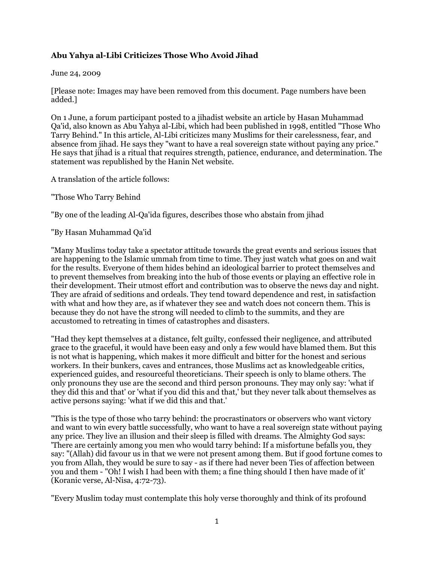## **Abu Yahya al-Libi Criticizes Those Who Avoid Jihad**

## June 24, 2009

[Please note: Images may have been removed from this document. Page numbers have been added.]

On 1 June, a forum participant posted to a jihadist website an article by Hasan Muhammad Qa'id, also known as Abu Yahya al-Libi, which had been published in 1998, entitled "Those Who Tarry Behind." In this article, Al-Libi criticizes many Muslims for their carelessness, fear, and absence from jihad. He says they "want to have a real sovereign state without paying any price." He says that jihad is a ritual that requires strength, patience, endurance, and determination. The statement was republished by the Hanin Net website.

A translation of the article follows:

"Those Who Tarry Behind

"By one of the leading Al-Qa'ida figures, describes those who abstain from jihad

"By Hasan Muhammad Qa'id

"Many Muslims today take a spectator attitude towards the great events and serious issues that are happening to the Islamic ummah from time to time. They just watch what goes on and wait for the results. Everyone of them hides behind an ideological barrier to protect themselves and to prevent themselves from breaking into the hub of those events or playing an effective role in their development. Their utmost effort and contribution was to observe the news day and night. They are afraid of seditions and ordeals. They tend toward dependence and rest, in satisfaction with what and how they are, as if whatever they see and watch does not concern them. This is because they do not have the strong will needed to climb to the summits, and they are accustomed to retreating in times of catastrophes and disasters.

"Had they kept themselves at a distance, felt guilty, confessed their negligence, and attributed grace to the graceful, it would have been easy and only a few would have blamed them. But this is not what is happening, which makes it more difficult and bitter for the honest and serious workers. In their bunkers, caves and entrances, those Muslims act as knowledgeable critics, experienced guides, and resourceful theoreticians. Their speech is only to blame others. The only pronouns they use are the second and third person pronouns. They may only say: 'what if they did this and that' or 'what if you did this and that,' but they never talk about themselves as active persons saying: 'what if we did this and that.'

"This is the type of those who tarry behind: the procrastinators or observers who want victory and want to win every battle successfully, who want to have a real sovereign state without paying any price. They live an illusion and their sleep is filled with dreams. The Almighty God says: 'There are certainly among you men who would tarry behind: If a misfortune befalls you, they say: "(Allah) did favour us in that we were not present among them. But if good fortune comes to you from Allah, they would be sure to say - as if there had never been Ties of affection between you and them - "Oh! I wish I had been with them; a fine thing should I then have made of it' (Koranic verse, Al-Nisa, 4:72-73).

"Every Muslim today must contemplate this holy verse thoroughly and think of its profound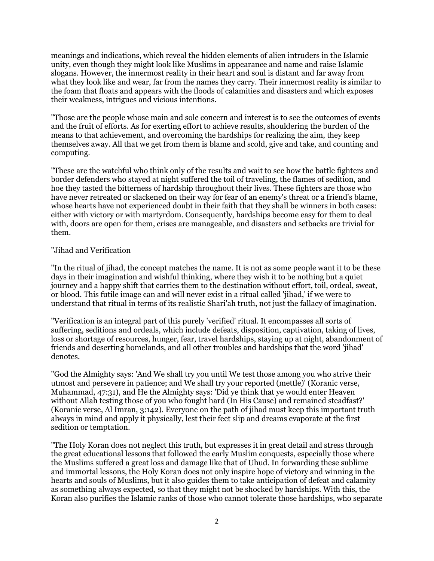meanings and indications, which reveal the hidden elements of alien intruders in the Islamic unity, even though they might look like Muslims in appearance and name and raise Islamic slogans. However, the innermost reality in their heart and soul is distant and far away from what they look like and wear, far from the names they carry. Their innermost reality is similar to the foam that floats and appears with the floods of calamities and disasters and which exposes their weakness, intrigues and vicious intentions.

"Those are the people whose main and sole concern and interest is to see the outcomes of events and the fruit of efforts. As for exerting effort to achieve results, shouldering the burden of the means to that achievement, and overcoming the hardships for realizing the aim, they keep themselves away. All that we get from them is blame and scold, give and take, and counting and computing.

"These are the watchful who think only of the results and wait to see how the battle fighters and border defenders who stayed at night suffered the toil of traveling, the flames of sedition, and hoe they tasted the bitterness of hardship throughout their lives. These fighters are those who have never retreated or slackened on their way for fear of an enemy's threat or a friend's blame, whose hearts have not experienced doubt in their faith that they shall be winners in both cases: either with victory or with martyrdom. Consequently, hardships become easy for them to deal with, doors are open for them, crises are manageable, and disasters and setbacks are trivial for them.

## "Jihad and Verification

"In the ritual of jihad, the concept matches the name. It is not as some people want it to be these days in their imagination and wishful thinking, where they wish it to be nothing but a quiet journey and a happy shift that carries them to the destination without effort, toil, ordeal, sweat, or blood. This futile image can and will never exist in a ritual called 'jihad,' if we were to understand that ritual in terms of its realistic Shari'ah truth, not just the fallacy of imagination.

"Verification is an integral part of this purely 'verified' ritual. It encompasses all sorts of suffering, seditions and ordeals, which include defeats, disposition, captivation, taking of lives, loss or shortage of resources, hunger, fear, travel hardships, staying up at night, abandonment of friends and deserting homelands, and all other troubles and hardships that the word 'jihad' denotes.

"God the Almighty says: 'And We shall try you until We test those among you who strive their utmost and persevere in patience; and We shall try your reported (mettle)' (Koranic verse, Muhammad, 47:31), and He the Almighty says: 'Did ye think that ye would enter Heaven without Allah testing those of you who fought hard (In His Cause) and remained steadfast?' (Koranic verse, Al Imran, 3:142). Everyone on the path of jihad must keep this important truth always in mind and apply it physically, lest their feet slip and dreams evaporate at the first sedition or temptation.

"The Holy Koran does not neglect this truth, but expresses it in great detail and stress through the great educational lessons that followed the early Muslim conquests, especially those where the Muslims suffered a great loss and damage like that of Uhud. In forwarding these sublime and immortal lessons, the Holy Koran does not only inspire hope of victory and winning in the hearts and souls of Muslims, but it also guides them to take anticipation of defeat and calamity as something always expected, so that they might not be shocked by hardships. With this, the Koran also purifies the Islamic ranks of those who cannot tolerate those hardships, who separate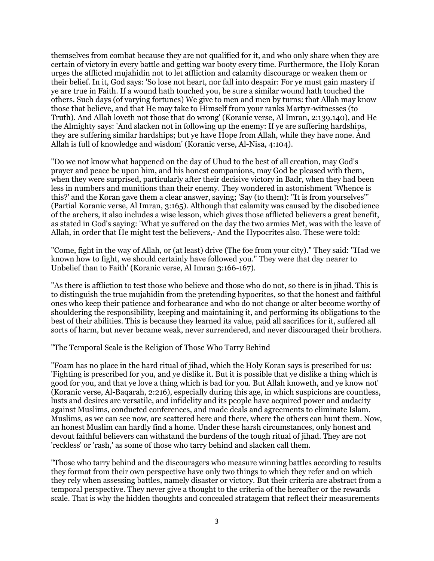themselves from combat because they are not qualified for it, and who only share when they are certain of victory in every battle and getting war booty every time. Furthermore, the Holy Koran urges the afflicted mujahidin not to let affliction and calamity discourage or weaken them or their belief. In it, God says: 'So lose not heart, nor fall into despair: For ye must gain mastery if ye are true in Faith. If a wound hath touched you, be sure a similar wound hath touched the others. Such days (of varying fortunes) We give to men and men by turns: that Allah may know those that believe, and that He may take to Himself from your ranks Martyr-witnesses (to Truth). And Allah loveth not those that do wrong' (Koranic verse, Al Imran, 2:139.140), and He the Almighty says: 'And slacken not in following up the enemy: If ye are suffering hardships, they are suffering similar hardships; but ye have Hope from Allah, while they have none. And Allah is full of knowledge and wisdom' (Koranic verse, Al-Nisa, 4:104).

"Do we not know what happened on the day of Uhud to the best of all creation, may God's prayer and peace be upon him, and his honest companions, may God be pleased with them, when they were surprised, particularly after their decisive victory in Badr, when they had been less in numbers and munitions than their enemy. They wondered in astonishment 'Whence is this?' and the Koran gave them a clear answer, saying; 'Say (to them): "It is from yourselves"' (Partial Koranic verse, Al Imran, 3:165). Although that calamity was caused by the disobedience of the archers, it also includes a wise lesson, which gives those afflicted believers a great benefit, as stated in God's saying: 'What ye suffered on the day the two armies Met, was with the leave of Allah, in order that He might test the believers,- And the Hypocrites also. These were told:

"Come, fight in the way of Allah, or (at least) drive (The foe from your city)." They said: "Had we known how to fight, we should certainly have followed you." They were that day nearer to Unbelief than to Faith' (Koranic verse, Al Imran 3:166-167).

"As there is affliction to test those who believe and those who do not, so there is in jihad. This is to distinguish the true mujahidin from the pretending hypocrites, so that the honest and faithful ones who keep their patience and forbearance and who do not change or alter become worthy of shouldering the responsibility, keeping and maintaining it, and performing its obligations to the best of their abilities. This is because they learned its value, paid all sacrifices for it, suffered all sorts of harm, but never became weak, never surrendered, and never discouraged their brothers.

"The Temporal Scale is the Religion of Those Who Tarry Behind

"Foam has no place in the hard ritual of jihad, which the Holy Koran says is prescribed for us: 'Fighting is prescribed for you, and ye dislike it. But it is possible that ye dislike a thing which is good for you, and that ye love a thing which is bad for you. But Allah knoweth, and ye know not' (Koranic verse, Al-Baqarah, 2:216), especially during this age, in which suspicions are countless, lusts and desires are versatile, and infidelity and its people have acquired power and audacity against Muslims, conducted conferences, and made deals and agreements to eliminate Islam. Muslims, as we can see now, are scattered here and there, where the others can hunt them. Now, an honest Muslim can hardly find a home. Under these harsh circumstances, only honest and devout faithful believers can withstand the burdens of the tough ritual of jihad. They are not 'reckless' or 'rash,' as some of those who tarry behind and slacken call them.

"Those who tarry behind and the discouragers who measure winning battles according to results they format from their own perspective have only two things to which they refer and on which they rely when assessing battles, namely disaster or victory. But their criteria are abstract from a temporal perspective. They never give a thought to the criteria of the hereafter or the rewards scale. That is why the hidden thoughts and concealed stratagem that reflect their measurements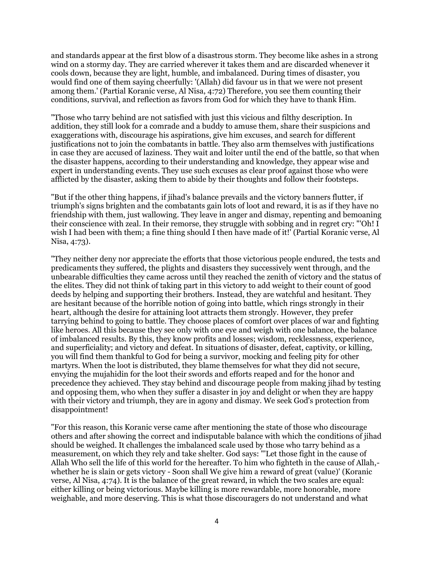and standards appear at the first blow of a disastrous storm. They become like ashes in a strong wind on a stormy day. They are carried wherever it takes them and are discarded whenever it cools down, because they are light, humble, and imbalanced. During times of disaster, you would find one of them saying cheerfully: '(Allah) did favour us in that we were not present among them.' (Partial Koranic verse, Al Nisa, 4:72) Therefore, you see them counting their conditions, survival, and reflection as favors from God for which they have to thank Him.

"Those who tarry behind are not satisfied with just this vicious and filthy description. In addition, they still look for a comrade and a buddy to amuse them, share their suspicions and exaggerations with, discourage his aspirations, give him excuses, and search for different justifications not to join the combatants in battle. They also arm themselves with justifications in case they are accused of laziness. They wait and loiter until the end of the battle, so that when the disaster happens, according to their understanding and knowledge, they appear wise and expert in understanding events. They use such excuses as clear proof against those who were afflicted by the disaster, asking them to abide by their thoughts and follow their footsteps.

"But if the other thing happens, if jihad's balance prevails and the victory banners flutter, if triumph's signs brighten and the combatants gain lots of loot and reward, it is as if they have no friendship with them, just wallowing. They leave in anger and dismay, repenting and bemoaning their conscience with zeal. In their remorse, they struggle with sobbing and in regret cry: "'Oh! I wish I had been with them; a fine thing should I then have made of it!' (Partial Koranic verse, Al Nisa, 4:73).

"They neither deny nor appreciate the efforts that those victorious people endured, the tests and predicaments they suffered, the plights and disasters they successively went through, and the unbearable difficulties they came across until they reached the zenith of victory and the status of the elites. They did not think of taking part in this victory to add weight to their count of good deeds by helping and supporting their brothers. Instead, they are watchful and hesitant. They are hesitant because of the horrible notion of going into battle, which rings strongly in their heart, although the desire for attaining loot attracts them strongly. However, they prefer tarrying behind to going to battle. They choose places of comfort over places of war and fighting like heroes. All this because they see only with one eye and weigh with one balance, the balance of imbalanced results. By this, they know profits and losses; wisdom, recklessness, experience, and superficiality; and victory and defeat. In situations of disaster, defeat, captivity, or killing, you will find them thankful to God for being a survivor, mocking and feeling pity for other martyrs. When the loot is distributed, they blame themselves for what they did not secure, envying the mujahidin for the loot their swords and efforts reaped and for the honor and precedence they achieved. They stay behind and discourage people from making jihad by testing and opposing them, who when they suffer a disaster in joy and delight or when they are happy with their victory and triumph, they are in agony and dismay. We seek God's protection from disappointment!

"For this reason, this Koranic verse came after mentioning the state of those who discourage others and after showing the correct and indisputable balance with which the conditions of jihad should be weighed. It challenges the imbalanced scale used by those who tarry behind as a measurement, on which they rely and take shelter. God says: "'Let those fight in the cause of Allah Who sell the life of this world for the hereafter. To him who fighteth in the cause of Allah, whether he is slain or gets victory - Soon shall We give him a reward of great (value)' (Koranic verse, Al Nisa, 4:74). It is the balance of the great reward, in which the two scales are equal: either killing or being victorious. Maybe killing is more rewardable, more honorable, more weighable, and more deserving. This is what those discouragers do not understand and what